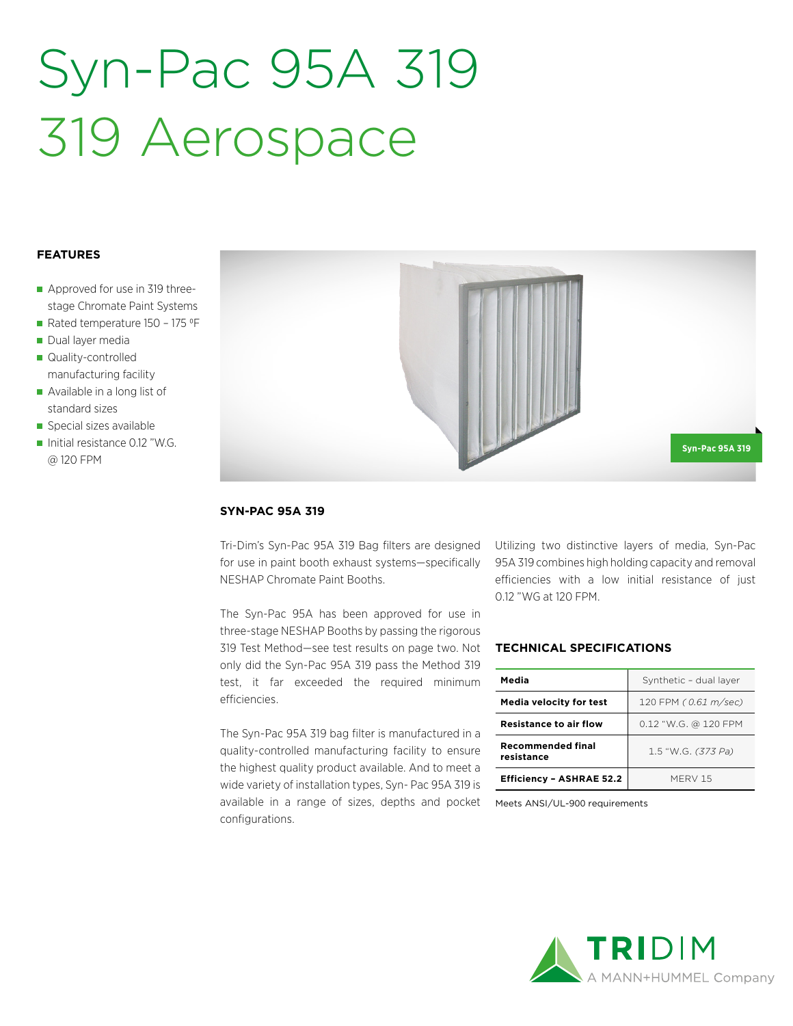# Syn-Pac 95A 319 319 Aerospace

### **FEATURES**

- Approved for use in 319 threestage Chromate Paint Systems
- Rated temperature  $150 175$  °F
- Dual layer media
- Quality-controlled manufacturing facility
- Available in a long list of standard sizes
- Special sizes available
- Initial resistance 0.12 "W.G. @ 120 FPM



#### **SYN-PAC 95A 319**

Tri-Dim's Syn-Pac 95A 319 Bag filters are designed for use in paint booth exhaust systems—specifically NESHAP Chromate Paint Booths.

The Syn-Pac 95A has been approved for use in three-stage NESHAP Booths by passing the rigorous 319 Test Method—see test results on page two. Not only did the Syn-Pac 95A 319 pass the Method 319 test, it far exceeded the required minimum efficiencies.

The Syn-Pac 95A 319 bag filter is manufactured in a quality-controlled manufacturing facility to ensure the highest quality product available. And to meet a wide variety of installation types, Syn- Pac 95A 319 is available in a range of sizes, depths and pocket configurations.

Utilizing two distinctive layers of media, Syn-Pac 95A 319 combines high holding capacity and removal efficiencies with a low initial resistance of just 0.12 "WG at 120 FPM.

## **TECHNICAL SPECIFICATIONS**

| Media                                  | Synthetic - dual layer |  |  |  |  |
|----------------------------------------|------------------------|--|--|--|--|
| <b>Media velocity for test</b>         | 120 FPM (0.61 m/sec)   |  |  |  |  |
| <b>Resistance to air flow</b>          | 0.12 "W.G. @ 120 FPM   |  |  |  |  |
| <b>Recommended final</b><br>resistance | 1.5 "W.G. (373 Pa)     |  |  |  |  |
| <b>Efficiency - ASHRAE 52.2</b>        | MFRV 15                |  |  |  |  |

Meets ANSI/UL-900 requirements